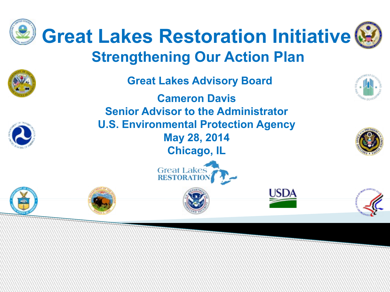

## **Strengthening Our Action Plan**

**Cameron Davis Great Lakes Advisory Board**

**Senior Advisor to the Administrator U.S. Environmental Protection Agency May 28, 2014 Chicago, IL**









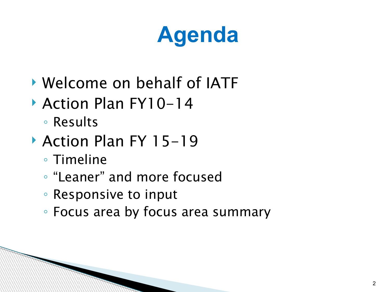## **Agenda**

- Welcome on behalf of IATF
- ▶ Action Plan FY10-14
	- Results
- ▶ Action Plan FY 15-19
	- Timeline
	- "Leaner" and more focused
	- Responsive to input
	- Focus area by focus area summary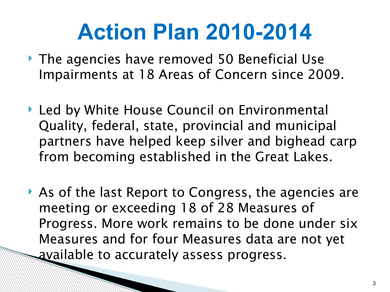- ▶ The agencies have removed 50 Beneficial Use Impairments at 18 Areas of Concern since 2009.
- ▶ Led by White House Council on Environmental Quality, federal, state, provincial and municipal partners have helped keep silver and bighead carp from becoming established in the Great Lakes.
- As of the last Report to Congress, the agencies are meeting or exceeding 18 of 28 Measures of Progress. More work remains to be done under six Measures and for four Measures data are not yet available to accurately assess progress.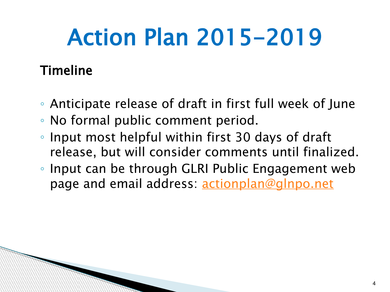#### Timeline

- Anticipate release of draft in first full week of June
- No formal public comment period.
- Input most helpful within first 30 days of draft release, but will consider comments until finalized.
- Input can be through GLRI Public Engagement web page and email address: [actionplan@glnpo.net](mailto:actionplan@glnpo.net)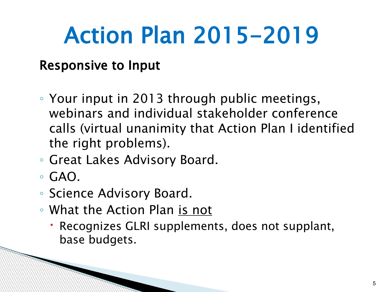#### Responsive to Input

- Your input in 2013 through public meetings, webinars and individual stakeholder conference calls (virtual unanimity that Action Plan I identified the right problems).
- Great Lakes Advisory Board.
- $\circ$  GAO.
- Science Advisory Board.

- What the Action Plan is not
	- Recognizes GLRI supplements, does not supplant, base budgets.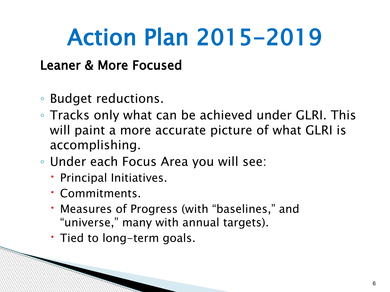#### Leaner & More Focused

- Budget reductions.
- Tracks only what can be achieved under GLRI. This will paint a more accurate picture of what GLRI is accomplishing.
- Under each Focus Area you will see:
	- Principal Initiatives.
	- Commitments.

- Measures of Progress (with "baselines," and "universe," many with annual targets).
- Tied to long-term goals.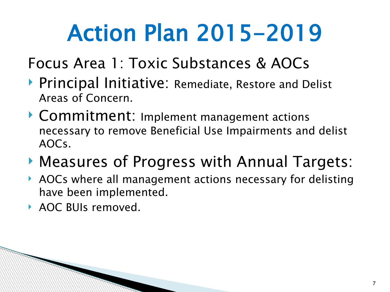Focus Area 1: Toxic Substances & AOCs

- ▶ Principal Initiative: Remediate, Restore and Delist Areas of Concern.
- ▶ Commitment: Implement management actions necessary to remove Beneficial Use Impairments and delist AOCs.
- Measures of Progress with Annual Targets:
- ▶ AOCs where all management actions necessary for delisting have been implemented.
- ▶ AOC BUIs removed.

**Communications**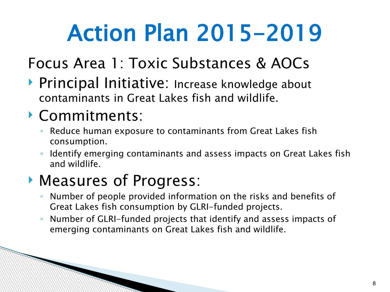### Focus Area 1: Toxic Substances & AOCs

▶ Principal Initiative: Increase knowledge about contaminants in Great Lakes fish and wildlife.

#### Commitments:

**Communications** 

- Reduce human exposure to contaminants from Great Lakes fish consumption.
- Identify emerging contaminants and assess impacts on Great Lakes fish and wildlife.

- Number of people provided information on the risks and benefits of Great Lakes fish consumption by GLRI-funded projects.
- Number of GLRI-funded projects that identify and assess impacts of emerging contaminants on Great Lakes fish and wildlife.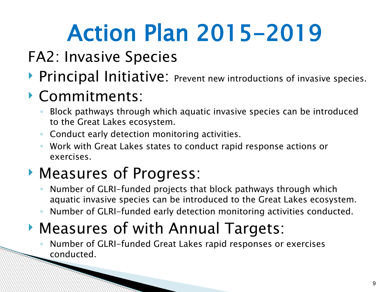- FA2: Invasive Species
- **Principal Initiative:** Prevent new introductions of invasive species.

### Commitments:

- Block pathways through which aquatic invasive species can be introduced to the Great Lakes ecosystem.
- Conduct early detection monitoring activities.
- Work with Great Lakes states to conduct rapid response actions or exercises.

### Measures of Progress:

- Number of GLRI-funded projects that block pathways through which aquatic invasive species can be introduced to the Great Lakes ecosystem.
- Number of GLRI-funded early detection monitoring activities conducted.

### Measures of with Annual Targets:

◦ Number of GLRI-funded Great Lakes rapid responses or exercises conducted.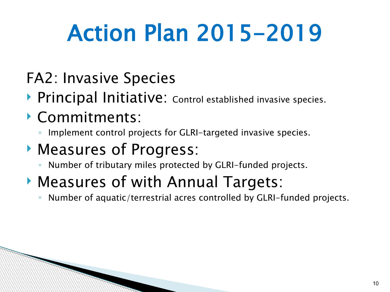- FA2: Invasive Species
- **Principal Initiative:** Control established invasive species.
- Commitments:
	- Implement control projects for GLRI-targeted invasive species.
- Measures of Progress:
	- Number of tributary miles protected by GLRI-funded projects.
- Measures of with Annual Targets:
	- Number of aquatic/terrestrial acres controlled by GLRI-funded projects.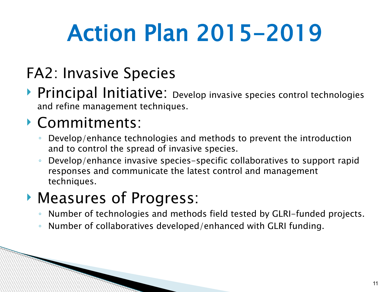### FA2: Invasive Species

▶ Principal Initiative: Develop invasive species control technologies and refine management techniques.

#### Commitments:

**Communications** 

- Develop/enhance technologies and methods to prevent the introduction and to control the spread of invasive species.
- Develop/enhance invasive species-specific collaboratives to support rapid responses and communicate the latest control and management techniques.

- Number of technologies and methods field tested by GLRI-funded projects.
- Number of collaboratives developed/enhanced with GLRI funding.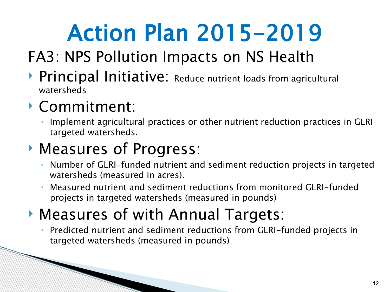### FA3: NPS Pollution Impacts on NS Health

▶ Principal Initiative: Reduce nutrient loads from agricultural watersheds

#### Commitment:

**Communication** 

◦ Implement agricultural practices or other nutrient reduction practices in GLRI targeted watersheds.

#### Measures of Progress:

- Number of GLRI-funded nutrient and sediment reduction projects in targeted watersheds (measured in acres).
- Measured nutrient and sediment reductions from monitored GLRI-funded projects in targeted watersheds (measured in pounds)

### Measures of with Annual Targets:

◦ Predicted nutrient and sediment reductions from GLRI-funded projects in targeted watersheds (measured in pounds)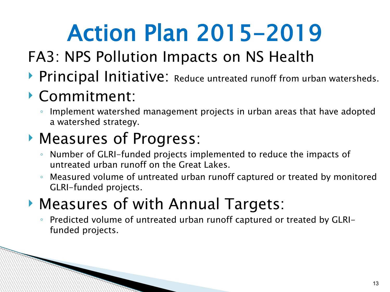### FA3: NPS Pollution Impacts on NS Health

**Principal Initiative:** Reduce untreated runoff from urban watersheds.

### Commitment:

**Communications** 

◦ Implement watershed management projects in urban areas that have adopted a watershed strategy.

### Measures of Progress:

- Number of GLRI-funded projects implemented to reduce the impacts of untreated urban runoff on the Great Lakes.
- Measured volume of untreated urban runoff captured or treated by monitored GLRI-funded projects.

### Measures of with Annual Targets:

◦ Predicted volume of untreated urban runoff captured or treated by GLRIfunded projects.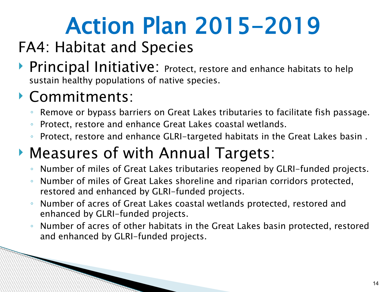### FA4: Habitat and Species

**Principal Initiative:** Protect, restore and enhance habitats to help sustain healthy populations of native species.

#### Commitments:

**Communications** 

- Remove or bypass barriers on Great Lakes tributaries to facilitate fish passage.
- Protect, restore and enhance Great Lakes coastal wetlands.
- Protect, restore and enhance GLRI-targeted habitats in the Great Lakes basin .

### Measures of with Annual Targets:

- Number of miles of Great Lakes tributaries reopened by GLRI-funded projects.
- Number of miles of Great Lakes shoreline and riparian corridors protected, restored and enhanced by GLRI-funded projects.
- Number of acres of Great Lakes coastal wetlands protected, restored and enhanced by GLRI-funded projects.
- Number of acres of other habitats in the Great Lakes basin protected, restored and enhanced by GLRI-funded projects.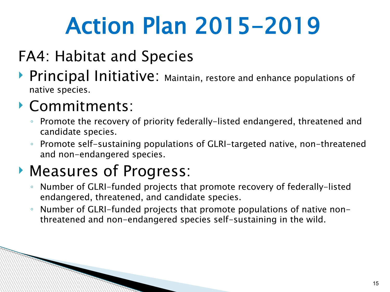### FA4: Habitat and Species

**Principal Initiative:** Maintain, restore and enhance populations of native species.

#### Commitments:

- Promote the recovery of priority federally-listed endangered, threatened and candidate species.
- Promote self-sustaining populations of GLRI-targeted native, non-threatened and non-endangered species.

### Measures of Progress:

- Number of GLRI-funded projects that promote recovery of federally-listed endangered, threatened, and candidate species.
- Number of GLRI-funded projects that promote populations of native nonthreatened and non-endangered species self-sustaining in the wild.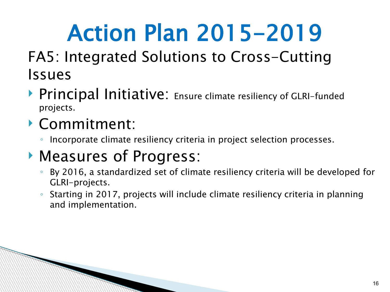#### FA5: Integrated Solutions to Cross-Cutting Issues

▶ Principal Initiative: Ensure climate resiliency of GLRI-funded projects.

#### Commitment:

**Communications** 

◦ Incorporate climate resiliency criteria in project selection processes.

- By 2016, a standardized set of climate resiliency criteria will be developed for GLRI-projects.
- Starting in 2017, projects will include climate resiliency criteria in planning and implementation.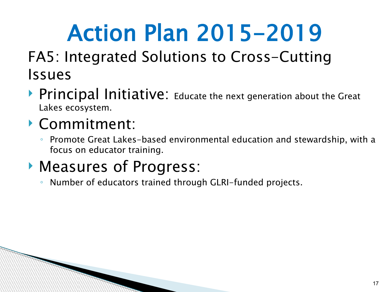#### FA5: Integrated Solutions to Cross-Cutting Issues

▶ Principal Initiative: Educate the next generation about the Great Lakes ecosystem.

#### Commitment:

◦ Promote Great Lakes-based environmental education and stewardship, with a focus on educator training.

### Measures of Progress:

◦ Number of educators trained through GLRI-funded projects.